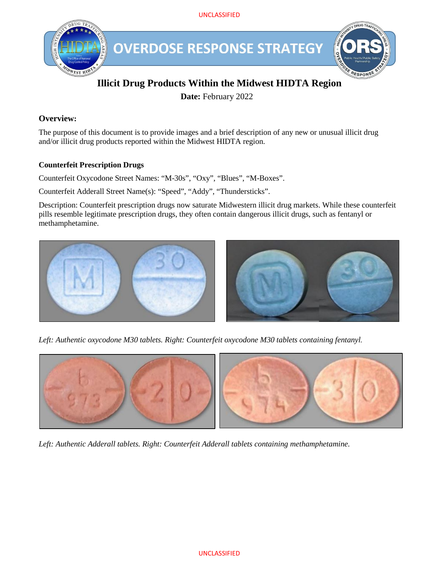UNCLASSIFIED



# **Illicit Drug Products Within the Midwest HIDTA Region**

**Date:** February 2022

## **Overview:**

The purpose of this document is to provide images and a brief description of any new or unusual illicit drug and/or illicit drug products reported within the Midwest HIDTA region.

## **Counterfeit Prescription Drugs**

Counterfeit Oxycodone Street Names: "M-30s", "Oxy", "Blues", "M-Boxes".

Counterfeit Adderall Street Name(s): "Speed", "Addy", "Thundersticks".

Description: Counterfeit prescription drugs now saturate Midwestern illicit drug markets. While these counterfeit pills resemble legitimate prescription drugs, they often contain dangerous illicit drugs, such as fentanyl or methamphetamine.



*Left: Authentic oxycodone M30 tablets. Right: Counterfeit oxycodone M30 tablets containing fentanyl.*



*Left: Authentic Adderall tablets. Right: Counterfeit Adderall tablets containing methamphetamine.*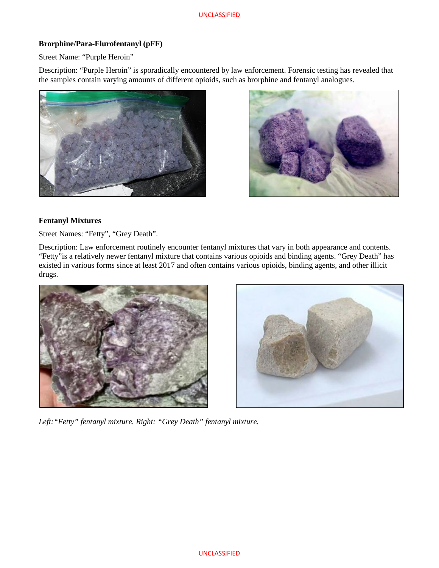#### **Brorphine/Para-Flurofentanyl (pFF)**

Street Name: "Purple Heroin"

Description: "Purple Heroin" is sporadically encountered by law enforcement. Forensic testing has revealed that the samples contain varying amounts of different opioids, such as brorphine and fentanyl analogues.





#### **Fentanyl Mixtures**

Street Names: "Fetty", "Grey Death".

Description: Law enforcement routinely encounter fentanyl mixtures that vary in both appearance and contents. "Fetty"is a relatively newer fentanyl mixture that contains various opioids and binding agents. "Grey Death" has existed in various forms since at least 2017 and often contains various opioids, binding agents, and other illicit drugs.





*Left:"Fetty" fentanyl mixture. Right: "Grey Death" fentanyl mixture.*